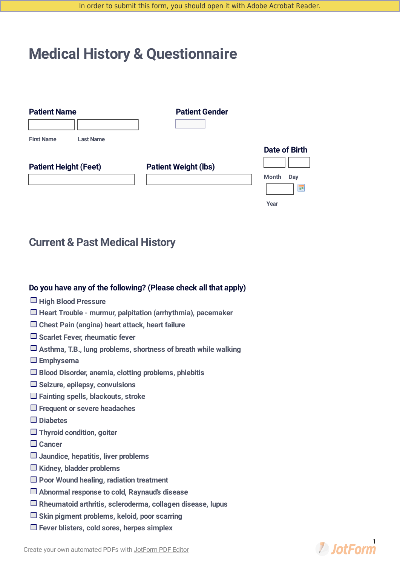# **Medical History & Questionnaire**

| <b>Patient Name</b>                   | <b>Patient Gender</b>       |                      |
|---------------------------------------|-----------------------------|----------------------|
|                                       |                             |                      |
| <b>First Name</b><br><b>Last Name</b> |                             |                      |
|                                       |                             | <b>Date of Birth</b> |
| <b>Patient Height (Feet)</b>          | <b>Patient Weight (lbs)</b> |                      |
|                                       |                             | <b>Month</b><br>Day  |
|                                       |                             | 噩                    |

**Year**

# **Current & Past Medical History**

#### **Do you have any of the following? (Please check all that apply)**

- **High Blood Pressure**
- **Heart Trouble - murmur, palpitation (arrhythmia), pacemaker**
- **Chest Pain (angina) heart attack, heart failure**
- **Scarlet Fever, rheumatic fever**
- **Asthma, T.B., lung problems, shortness of breath while walking**
- **Emphysema**
- **Blood Disorder, anemia, clotting problems, phlebitis**
- **Seizure, epilepsy, convulsions**
- **Fainting spells, blackouts, stroke**
- **Frequent or severe headaches**
- **Diabetes**
- **Thyroid condition, goiter**
- **Cancer**
- **Jaundice, hepatitis, liver problems**
- **Kidney, bladder problems**
- **Poor Wound healing, radiation treatment**
- **Abnormal response to cold, Raynaud's disease**
- **Rheumatoid arthritis, scleroderma, collagen disease, lupus**
- **Skin pigment problems, keloid, poor scarring**
- **Fever blisters, cold sores, herpes simplex**

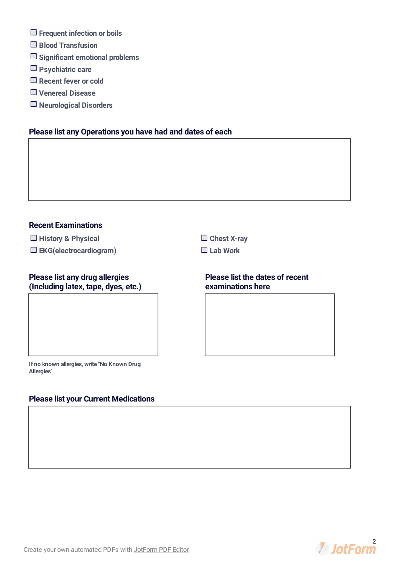- **Frequent infection or boils**
- **Blood Transfusion**
- **Significant emotional problems**
- **Psychiatric care**
- **Recent fever or cold**
- **Venereal Disease**
- **Neurological Disorders**

## **Please list any Operations you have had and dates of each**

#### **Recent Examinations**

- **History & Physical Chest X-ray**
- **EKG(electrocardiogram) Lab Work**

# **Please list any drug allergies (Including latex, tape, dyes, etc.)**

#### **Please list the dates of recent examinations here**

**If no known allergies, write "No Known Drug Allergies"**

# **Please list your Current Medications**